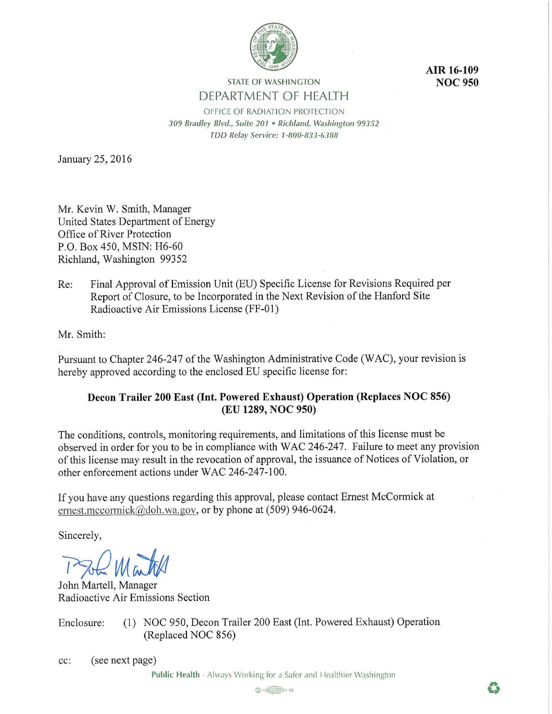

**AIR 16-109 NOC950** 

# **STATE OF WASHINGTON**  DEPARTMENT OF HEALTH

OFFICE OF RADIATION PROTECTION *309 Bradley Blvd., Suite 201* • *Richland, Washington 99352 TDD Relay Service: 1-800-833-6388* 

January 25, 2016

Mr. Kevin W. Smith, Manager United States Department of Energy Office of River Protection P.O. Box 450, MSIN: H6-60 Richland, Washington 99352

Re: Final Approval of Emission Unit (EU) Specific License for Revisions Required per Report of Closure, to be Incorporated in the Next Revision of the Hanford Site Radioactive Air Emissions License (FF-01)

Mr. Smith:

Pursuant to Chapter 246-247 of the Washington Administrative Code (WAC), your revision is hereby approved according to the enclosed EU specific license for:

# **Decon Trailer 200 East (Int. Powered Exhaust) Operation (Replaces NOC 856) (EU 1289, NOC 950)**

The conditions, controls, monitoring requirements, and limitations of this license must be observed in order for you to be in compliance with WAC 246-247. Failure to meet any provision of this license may result in the revocation of approval, the issuance of Notices of Violation, or other enforcement actions under WAC 246-247-100.

If you have any questions regarding this approval, please contact Ernest McCormick at ernest.mccormick $@$ doh. wa.gov, or by phone at (509) 946-0624.

Sincerely,

**Which Matches** 

John Martell, Manager Radioactive Air Emissions Section

Enclosure: (I) NOC 950, Decon Trailer 200 East (Int. Powered Exhaust) Operation (Replaced NOC 856)

cc: (see next page)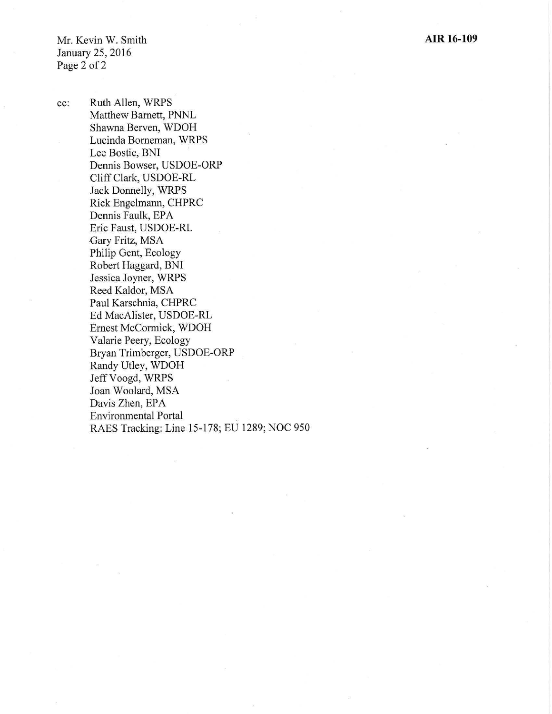Mr. Kevin W. Smith January 25, 2016 Page 2 of 2

cc: Ruth Allen, WRPS Matthew Barnett, PNNL Shawna Berven, WDOH Lucinda Borneman, WRPS Lee Bostic, BNI Dennis Bowser, USDOE-ORP Cliff Clark, USDOE-RL Jack Donnelly, WRPS Rick Engelmann, CHPRC Dennis Faulk, EPA Eric Faust, USDOE-RL Gary Fritz, MSA Philip Gent, Ecology Robert Haggard, BNI Jessica Joyner, WRPS Reed Kaldor, MSA Paul Karschnia, CHPRC Ed MacAlister, USDOE-RL Ernest McCormick, WDOH Valarie Peery, Ecology Bryan Trimberger, USDOE-ORP Randy Utley, WDOH Jeff Voogd, WRPS Joan Woolard, MSA Davis Zhen, EPA Environmental Portal RAES Tracking: Line 15-178; EU 1289; NOC 950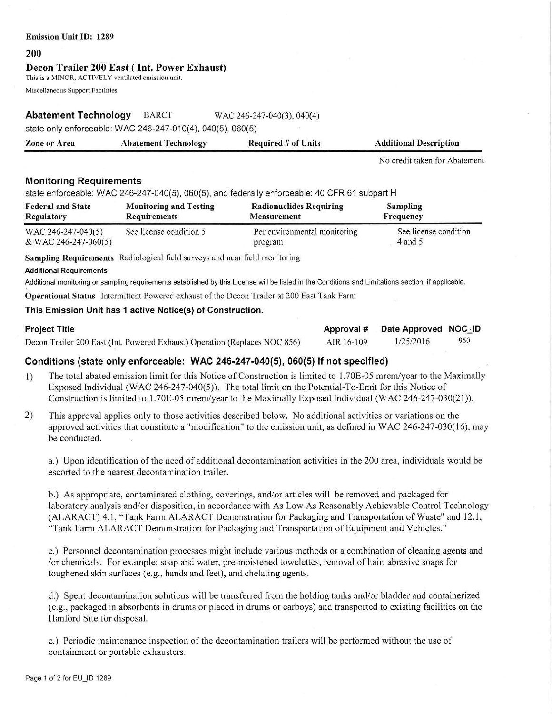### **Emission Unit** ID: 1289

#### **200**

### **Decou Trailer 200 East** ( **Int. Power Exhaust)**

This is a MINOR, ACTIVELY ventilated emission unit.

Miscellaneous Support Facilities

# **Abatement Technology** BARCT WAC 246-247-040(3), 040(4)

state only enforceable: WAC 246-247-010(4), 040(5), 060(5)

| <b>Zone or Area</b> | <b>Abatement Technology</b> | <b>Required # of Units</b> | <b>Additional Description</b> |
|---------------------|-----------------------------|----------------------------|-------------------------------|
|---------------------|-----------------------------|----------------------------|-------------------------------|

No credit taken for Abatement

## **Monitoring Requirements**

state enforceable: WAC 246-247-040(5), 060(5), and federally enforceable: 40 CFR 61 subpart H

| <b>Federal and State</b> | <b>Monitoring and Testing</b> | <b>Radionuclides Requiring</b> | <b>Sampling</b>       |
|--------------------------|-------------------------------|--------------------------------|-----------------------|
| Regulatory               | <b>Requirements</b>           | <b>Measurement</b>             | Frequency             |
| WAC 246-247-040(5)       | See license condition 5       | Per environmental monitoring   | See license condition |
| & WAC 246-247-060(5)     |                               | program                        | 4 and 5               |

**Sampling Requirements** Radiological field surveys and near field monitoring

#### **Additional Requirements**

Additional monitoring or sampling requirements established by this License will be listed in the Conditions and Limitations section, if applicable.

**Operational Status** Intermittent Powered exhaust of the Decon Trailer at 200 East Tank Farm

## **This Emission Unit has 1 active Notice(s) of Construction.**

| Project Title                                                              |            | Approval # Date Approved NOC_ID |     |
|----------------------------------------------------------------------------|------------|---------------------------------|-----|
| Decon Trailer 200 East (Int. Powered Exhaust) Operation (Replaces NOC 856) | AIR 16-109 | 1/25/2016                       | 950 |

# **Conditions (state only enforceable: WAC 246-247-040(5), 060(5) if not specified)**

- 1) The total abated emission limit for this Notice of Construction is limited to l.70E-05 mrem/year to the Maximally Exposed Individual (WAC 246-247-040(5)). The total limit on the Potential-To-Emit for this Notice of Construction is limited to 1.70E-05 mrem/year to the Maximally Exposed Individual (WAC 246-247-030(21)).
- 2) This approval applies only to those activities described below. No additional activities or variations on the approved activities that constitute a "modification" to the emission unit, as defined in WAC 246-247-030(16), may be conducted.

a.) Upon identification of the need of additional decontamination activities in the 200 area, individuals would be escorted to the nearest decontamination trailer.

b.) As appropriate, contaminated clothing, coverings, and/or articles will be removed and packaged for laboratory analysis and/or disposition, in accordance with As Low As Reasonably Achievable Control Technology (ALARACT) 4.1, "Tank Farm ALARACT Demonstration for Packaging and Transportation of Waste" and 12.1, "Tank Farm ALARACT Demonstration for Packaging and Transportation of Equipment and Vehicles."

c.) Personnel decontamination processes might include various methods or a combination of cleaning agents and /or chemicals. For example: soap and water, pre-moistened towelettes, removal of hair, abrasive soaps for toughened skin surfaces (e.g., hands and feet), and chelating agents.

d.) Spent decontamination solutions will be transferred from the holding tanks and/or bladder and containerized (e.g., packaged in absorbents in drums or placed in drums or carboys) and transported to existing facilities on the Hanford Site for disposal.

e.) Periodic maintenance inspection of the decontamination trailers will be performed without the use of containment or portable exhausters.